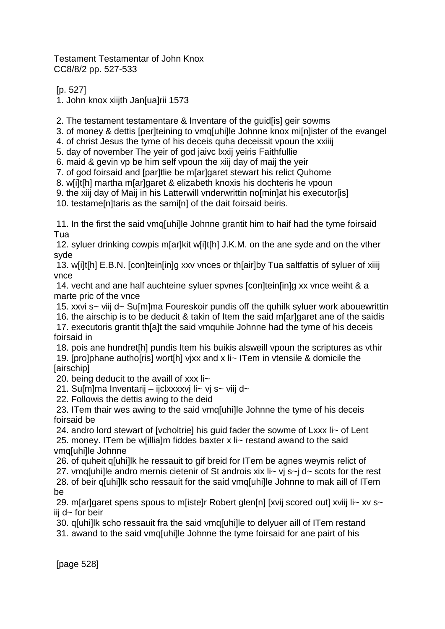Testament Testamentar of John Knox CC8/8/2 pp. 527-533

[p. 527]

1. John knox xiijth Jan[ua]rii 1573

2. The testament testamentare & Inventare of the guid[is] geir sowms

3. of money & dettis [per]teining to vmq[uhi]le Johnne knox mi[n]ister of the evangel

4. of christ Jesus the tyme of his deceis quha deceissit vpoun the xxiiij

5. day of november The yeir of god jaivc lxxij yeiris Faithfullie

6. maid & gevin vp be him self vpoun the xiij day of maij the yeir

7. of god foirsaid and [par]tlie be m[ar]garet stewart his relict Quhome

8. w[i]t[h] martha m[ar]garet & elizabeth knoxis his dochteris he vpoun

9. the xiij day of Maij in his Latterwill vnderwrittin no[min]at his executor[is]

10. testame[n]taris as the sami[n] of the dait foirsaid beiris.

11. In the first the said vmq[uhi]le Johnne grantit him to haif had the tyme foirsaid Tua

12. syluer drinking cowpis m[ar]kit w[i]t[h] J.K.M. on the ane syde and on the vther syde

13. w[i]t[h] E.B.N. [con]tein[in]g xxv vnces or th[air]by Tua saltfattis of syluer of xiiij vnce

14. vecht and ane half auchteine syluer spvnes [con]tein[in]g xx vnce weiht & a marte pric of the vnce

15. xxvi s~ viij d~ Su[m]ma Foureskoir pundis off the quhilk syluer work abouewrittin

16. the airschip is to be deducit & takin of Item the said m[ar]garet ane of the saidis 17. executoris grantit thaalt the said vmquhile Johnne had the tyme of his deceis foirsaid in

18. pois ane hundret[h] pundis Item his buikis alsweill vpoun the scriptures as vthir 19. [pro]phane autho[ris] wort[h] vjxx and x li~ ITem in vtensile & domicile the [airschip]

20. being deducit to the availl of xxx li~

21. Su[m]ma Inventarij – ijclxxxxvj li~ vj s~ viij d~

22. Followis the dettis awing to the deid

23. ITem thair wes awing to the said vmq[uhi]le Johnne the tyme of his deceis foirsaid be

24. andro lord stewart of [vcholtrie] his guid fader the sowme of Lxxx li~ of Lent

25. money. ITem be w[illia]m fiddes baxter x li~ restand awand to the said vmq[uhi]le Johnne

26. of quheit q[uhi]lk he ressauit to gif breid for ITem be agnes weymis relict of

27. vmq[uhi]le andro mernis cietenir of St androis xix li~ vj s~j d~ scots for the rest

28. of beir q[uhi]lk scho ressauit for the said vmq[uhi]le Johnne to mak aill of ITem be

29. m[ar]garet spens spous to m[iste]r Robert glen[n] [xvij scored out] xviij li~ xv s~ iij d~ for beir

30. q[uhi]lk scho ressauit fra the said vmq[uhi]le to delyuer aill of ITem restand

31. awand to the said vmq[uhi]le Johnne the tyme foirsaid for ane pairt of his

[page 528]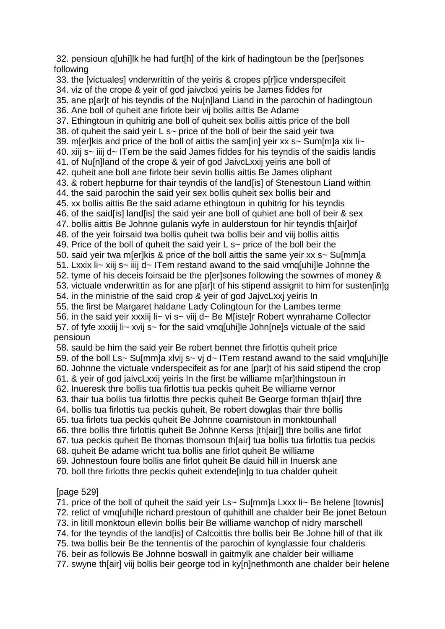32. pensioun q[uhi]lk he had furt[h] of the kirk of hadingtoun be the [per]sones following

33. the [victuales] vnderwrittin of the yeiris & cropes p[r]ice vnderspecifeit 34. viz of the crope & yeir of god jaivclxxi yeiris be James fiddes for 35. ane p[ar]t of his teyndis of the Nu[n]land Liand in the parochin of hadingtoun 36. Ane boll of quheit ane firlote beir vij bollis aittis Be Adame 37. Ethingtoun in quhitrig ane boll of quheit sex bollis aittis price of the boll 38. of quheit the said yeir L s~ price of the boll of beir the said yeir twa 39. m[er]kis and price of the boll of aittis the sam[in] yeir xx s~ Sum[m]a xix li~ 40. xiij s~ iiij d~ ITem be the said James fiddes for his teyndis of the saidis landis 41. of Nu[n]land of the crope & yeir of god JaivcLxxij yeiris ane boll of 42. quheit ane boll ane firlote beir sevin bollis aittis Be James oliphant 43. & robert hepburne for thair teyndis of the land[is] of Stenestoun Liand within 44. the said parochin the said yeir sex bollis quheit sex bollis beir and 45. xx bollis aittis Be the said adame ethingtoun in quhitrig for his teyndis 46. of the said[is] land[is] the said yeir ane boll of quhiet ane boll of beir & sex 47. bollis aittis Be Johnne gulanis wyfe in aulderstoun for hir teyndis th[air]of 48. of the yeir foirsaid twa bollis quheit twa bollis beir and viij bollis aittis 49. Price of the boll of quheit the said yeir L s~ price of the boll beir the 50. said yeir twa m[er]kis & price of the boll aittis the same yeir xx s~ Su[mm]a 51. Lxxix li~ xiij s~ iiij d~ ITem restand awand to the said vmq[uhi]le Johnne the 52. tyme of his deceis foirsaid be the p[er]sones following the sowmes of money & 53. victuale vnderwrittin as for ane p[ar]t of his stipend assignit to him for susten[in]g 54. in the ministrie of the said crop & yeir of god JajvcLxxj yeiris In 55. the first be Margaret haldane Lady Colingtoun for the Lambes terme 56. in the said yeir xxxiij li~ vi s~ viij d~ Be M[iste]r Robert wynrahame Collector 57. of fyfe xxxiij li~ xvij s~ for the said vmq[uhi]le John[ne]s victuale of the said pensioun 58. sauld be him the said yeir Be robert bennet thre firlottis quheit price 59. of the boll Ls~ Su[mm]a xlvij s~ vj d~ ITem restand awand to the said vmq[uhi]le 60. Johnne the victuale vnderspecifeit as for ane [par]t of his said stipend the crop 61. & yeir of god jaivcLxxij yeiris In the first be williame m[ar]thingstoun in 62. Inueresk thre bollis tua firlottis tua peckis quheit Be williame vernor

63. thair tua bollis tua firlottis thre peckis quheit Be George forman th[air] thre

64. bollis tua firlottis tua peckis quheit, Be robert dowglas thair thre bollis

65. tua firlots tua peckis quheit Be Johnne coamistoun in monktounhall

- 66. thre bollis thre firlottis quheit Be Johnne Kerss [th[air]] thre bollis ane firlot
- 67. tua peckis quheit Be thomas thomsoun th[air] tua bollis tua firlottis tua peckis

68. quheit Be adame wricht tua bollis ane firlot quheit Be williame

69. Johnestoun foure bollis ane firlot quheit Be dauid hill in Inuersk ane

70. boll thre firlotts thre peckis quheit extende[in]g to tua chalder quheit

### [page 529]

71. price of the boll of quheit the said yeir Ls~ Su[mm]a Lxxx li~ Be helene [townis] 72. relict of vmq[uhi]le richard prestoun of quhithill ane chalder beir Be jonet Betoun 73. in litill monktoun ellevin bollis beir Be williame wanchop of nidry marschell 74. for the teyndis of the land[is] of Calcoittis thre bollis beir Be Johne hill of that ilk 75. twa bollis beir Be the tennentis of the parochin of kynglassie four chalderis 76. beir as followis Be Johnne boswall in gaitmylk ane chalder beir williame 77. swyne th[air] viij bollis beir george tod in ky[n]nethmonth ane chalder beir helene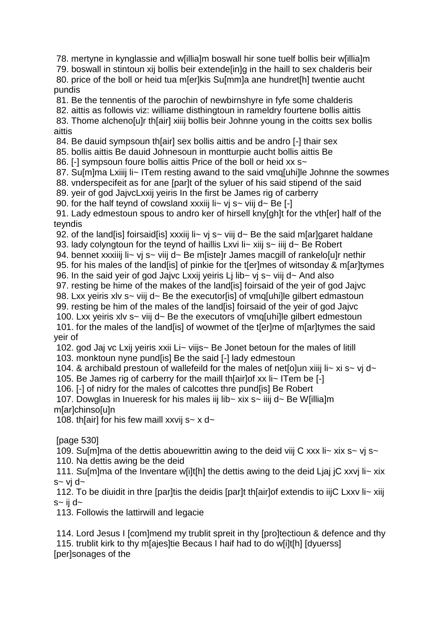78. mertyne in kynglassie and w[illia]m boswall hir sone tuelf bollis beir w[illia]m

79. boswall in stintoun xij bollis beir extende[in]g in the haill to sex chalderis beir 80. price of the boll or heid tua m[er]kis Su[mm]a ane hundret[h] twentie aucht pundis

81. Be the tennentis of the parochin of newbirnshyre in fyfe some chalderis

82. aittis as followis viz: williame disthingtoun in rameldry fourtene bollis aittis

83. Thome alcheno[u]r th[air] xiiij bollis beir Johnne young in the coitts sex bollis aittis

84. Be dauid sympsoun th[air] sex bollis aittis and be andro [-] thair sex

85. bollis aittis Be dauid Johnesoun in montturpie aucht bollis aittis Be

86. [-] sympsoun foure bollis aittis Price of the boll or heid xx s~

87. Su[m]ma Lxiiij li~ ITem resting awand to the said vmq[uhi]le Johnne the sowmes

88. vnderspecifeit as for ane [par]t of the syluer of his said stipend of the said

89. yeir of god JajvcLxxij yeiris In the first be James rig of carberry

90. for the half teynd of cowsland xxxiij li~ vj s~ viij d~ Be  $[-]$ 

91. Lady edmestoun spous to andro ker of hirsell kny[gh]t for the vth[er] half of the teyndis

92. of the land [is] foirsaid [is] xxxiij  $\mathbf{I}$  is  $\sim$  viij d $\sim$  Be the said m[ar] garet haldane

93. lady colyngtoun for the teynd of haillis Lxvi li~ xiij s~ iiij d~ Be Robert

94. bennet xxxiiij li~ vj s~ viij d~ Be m[iste]r James macgill of rankelo[u]r nethir

95. for his males of the land[is] of pinkie for the t[er]mes of witsonday & m[ar]tymes

96. In the said yeir of god Jajvc Lxxij yeiris Li lib~ vj s~ viij d~ And also

97. resting be hime of the makes of the land[is] foirsaid of the yeir of god Jajvc

98. Lxx yeiris xlv s~ viij d~ Be the executor[is] of vmq[uhi]le gilbert edmastoun

99. resting be him of the males of the land[is] foirsaid of the yeir of god Jajvc

100. Lxx yeiris xlv s~ viij d~ Be the executors of vmq[uhi]le gilbert edmestoun 101. for the males of the land[is] of wowmet of the t[er]me of m[ar]tymes the said

yeir of

102. god Jaj vc Lxij yeiris xxii Li~ viijs~ Be Jonet betoun for the males of litill

103. monktoun nyne pund[is] Be the said [-] lady edmestoun

104. & archibald prestoun of wallefeild for the males of netollun xiiij li~ xi s~ vj d~

105. Be James rig of carberry for the maill th[air]of xx li~ ITem be [-]

106. [-] of nidry for the males of calcottes thre pund[is] Be Robert

107. Dowglas in Inueresk for his males iij lib~ xix s~ iiij d~ Be W[illia]m m[ar]chinso[u]n

108. th[air] for his few maill xxvij s~ x d~

[page 530]

109. Su[m]ma of the dettis abouewrittin awing to the deid viij C xxx li~ xix s~ vi s~

110. Na dettis awing be the deid

111. Su[m]ma of the Inventare w[i]t[h] the dettis awing to the deid Ljaj jC xxvj li~ xix  $s$ ~ vi d~

112. To be diuidit in thre [par]tis the deidis [par]t th[air]of extendis to iijC Lxxv li~ xiij  $s$ ~ ii d~

113. Followis the lattirwill and legacie

114. Lord Jesus I [com]mend my trublit spreit in thy [pro]tectioun & defence and thy 115. trublit kirk to thy m[ajes]tie Becaus I haif had to do w[i]t[h] [dyuerss] [per]sonages of the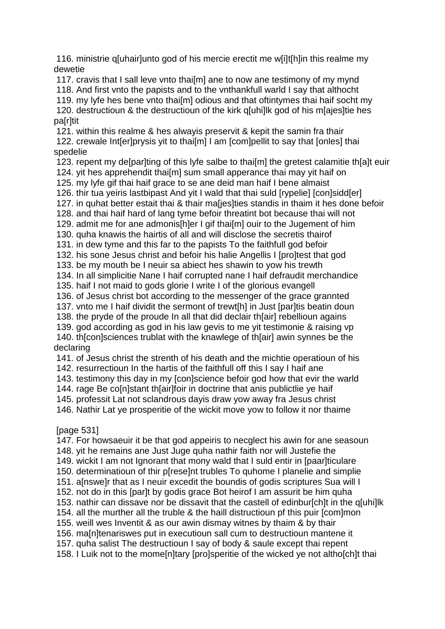116. ministrie q[uhair]unto god of his mercie erectit me w[i]t[h]in this realme my dewetie

117. cravis that I sall leve vnto thai[m] ane to now ane testimony of my mynd

118. And first vnto the papists and to the vnthankfull warld I say that althocht

119. my lyfe hes bene vnto thai[m] odious and that oftintymes thai haif socht my

120. destructioun & the destructioun of the kirk q[uhi]lk god of his m[ajes]tie hes pa[r]tit

121. within this realme & hes alwayis preservit & kepit the samin fra thair 122. crewale Int[er]prysis yit to thai[m] I am [com]pellit to say that [onles] thai spedelie

123. repent my de[par]ting of this lyfe salbe to thai[m] the gretest calamitie th[a]t euir 124. yit hes apprehendit thai[m] sum small apperance thai may yit haif on

125. my lyfe gif thai haif grace to se ane deid man haif I bene almaist

126. thir tua yeiris lastbipast And yit I wald that thai suld [rypelie] [con]sidd[er]

127. in quhat better estait thai & thair ma[jes]ties standis in thaim it hes done befoir

128. and thai haif hard of lang tyme befoir threatint bot because thai will not

129. admit me for ane admonis[h]er I gif thai[m] ouir to the Jugement of him

130. quha knawis the hairtis of all and will disclose the secretis thairof

131. in dew tyme and this far to the papists To the faithfull god befoir

132. his sone Jesus christ and befoir his halie Angellis I [pro]test that god

133. be my mouth be I neuir sa abiect hes shawin to yow his trewth

134. In all simplicitie Nane I haif corrupted nane I haif defraudit merchandice

135. haif I not maid to gods glorie I write I of the glorious evangell

136. of Jesus christ bot according to the messenger of the grace grannted

137. vnto me I haif dividit the sermont of trewt[h] in Just [par]tis beatin doun

138. the pryde of the proude In all that did declair th[air] rebellioun agains

139. god according as god in his law gevis to me yit testimonie & raising vp 140. th[con]sciences trublat with the knawlege of th[air] awin synnes be the

# declaring

141. of Jesus christ the strenth of his death and the michtie operatioun of his

142. resurrectioun In the hartis of the faithfull off this I say I haif ane

143. testimony this day in my [con]science befoir god how that evir the warld

144. rage Be co[n]stant th[air]foir in doctrine that anis publictlie ye haif

145. professit Lat not sclandrous dayis draw yow away fra Jesus christ

146. Nathir Lat ye prosperitie of the wickit move yow to follow it nor thaime

## [page 531]

147. For howsaeuir it be that god appeiris to necglect his awin for ane seasoun 148. yit he remains ane Just Juge quha nathir faith nor will Justefie the 149. wickit I am not Ignorant that mony wald that I suld entir in [paar]ticulare 150. determinatioun of thir p[rese]nt trubles To quhome I planelie and simplie 151. a[nswe]r that as I neuir excedit the boundis of godis scriptures Sua will I 152. not do in this [par]t by godis grace Bot heirof I am assurit be him quha 153. nathir can dissave nor be dissavit that the castell of edinbur[ch]t in the q[uhi]lk 154. all the murther all the truble & the haill distructioun pf this puir [com]mon 155. weill wes Inventit & as our awin dismay witnes by thaim & by thair 156. ma[n]tenariswes put in executioun sall cum to destructioun mantene it 157. quha salist The destructioun I say of body & saule except thai repent 158. I Luik not to the mome[n]tary [pro]speritie of the wicked ye not altho[ch]t thai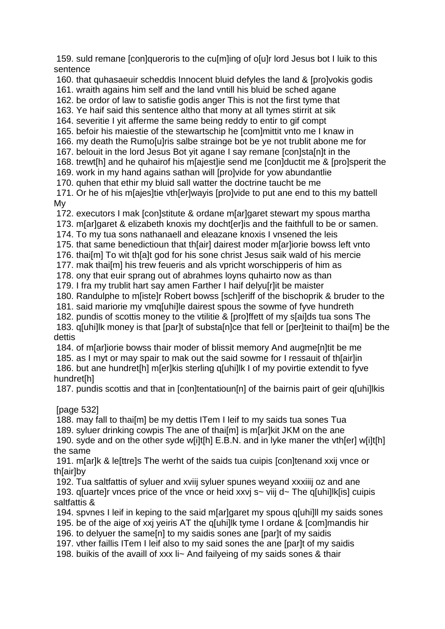159. suld remane [con]queroris to the cu[m]ing of o[u]r lord Jesus bot I luik to this sentence

160. that quhasaeuir scheddis Innocent bluid defyles the land & [pro]vokis godis

161. wraith agains him self and the land vntill his bluid be sched agane

162. be ordor of law to satisfie godis anger This is not the first tyme that

163. Ye haif said this sentence altho that mony at all tymes stirrit at sik

164. severitie I yit afferme the same being reddy to entir to gif compt

165. befoir his maiestie of the stewartschip he [com]mittit vnto me I knaw in

166. my death the Rumo[u]ris salbe strainge bot be ye not trublit abone me for

167. belouit in the lord Jesus Bot yit agane I say remane [con]sta[n]t in the

168. trewt[h] and he quhairof his m[ajest]ie send me [con]ductit me & [pro]sperit the

169. work in my hand agains sathan will [pro]vide for yow abundantlie

170. quhen that ethir my bluid sall watter the doctrine taucht be me

171. Or he of his m[ajes]tie vth[er]wayis [pro]vide to put ane end to this my battell My

172. executors I mak [con]stitute & ordane m[ar]garet stewart my spous martha

173. m[ar]garet & elizabeth knoxis my docht[er]is and the faithfull to be or samen.

174. To my tua sons nathanaell and eleazane knoxis I vnsened the leis

175. that same benedictioun that th[air] dairest moder m[ar]iorie bowss left vnto

176. thai[m] To wit th[a]t god for his sone christ Jesus saik wald of his mercie

177. mak thai[m] his trew feueris and als vpricht worschipperis of him as

178. ony that euir sprang out of abrahmes loyns quhairto now as than

179. I fra my trublit hart say amen Farther I haif delyu[r]it be maister

180. Randulphe to m[iste]r Robert bowss [sch]eriff of the bischoprik & bruder to the

181. said mariorie my vmq[uhi]le dairest spous the sowme of fyve hundreth

182. pundis of scottis money to the vtilitie & [pro]ffett of my s[ai]ds tua sons The 183. q[uhi]lk money is that [par]t of substa[n]ce that fell or [per]teinit to thai[m] be the

### dettis

184. of m[ar]iorie bowss thair moder of blissit memory And augme[n]tit be me

185. as I myt or may spair to mak out the said sowme for I ressauit of th[air]in

186. but ane hundret[h] m[er]kis sterling q[uhi]lk I of my povirtie extendit to fyve hundret[h]

187. pundis scottis and that in [con]tentatioun[n] of the bairnis pairt of geir q[uhi]lkis

## [page 532]

188. may fall to thai[m] be my dettis ITem I leif to my saids tua sones Tua 189. syluer drinking cowpis The ane of thai<sup>[m]</sup> is m[ar]kit JKM on the ane 190. syde and on the other syde w[i]t[h] E.B.N. and in lyke maner the vth[er] w[i]t[h] the same

191. m[ar]k & le[ttre]s The werht of the saids tua cuipis [con]tenand xxij vnce or th[air]by

192. Tua saltfattis of syluer and xviij syluer spunes weyand xxxiiij oz and ane 193. q[uarte]r vnces price of the vnce or heid xxvj s~ viij d~ The q[uhi]lk[is] cuipis saltfattis &

194. spvnes I leif in keping to the said m[ar]garet my spous q[uhi]ll my saids sones 195. be of the aige of xxj yeiris AT the q[uhi]lk tyme I ordane & [com]mandis hir

196. to delyuer the same[n] to my saidis sones ane [par]t of my saidis

197. vther faillis ITem I leif also to my said sones the ane [par]t of my saidis

198. buikis of the availl of xxx li~ And failyeing of my saids sones & thair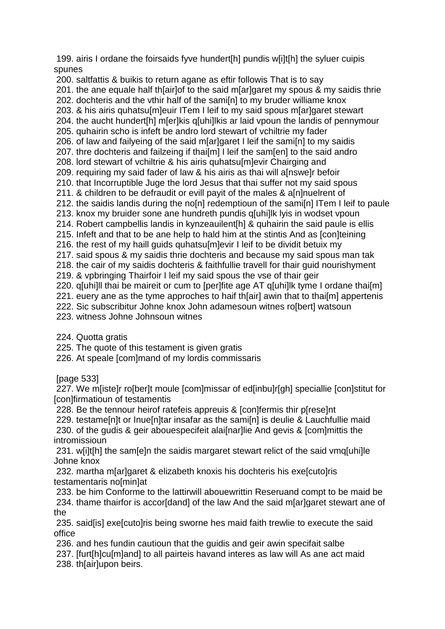199. airis I ordane the foirsaids fyve hundert[h] pundis w[i]t[h] the syluer cuipis spunes

200. saltfattis & buikis to return agane as eftir followis That is to say 201. the ane equale half th[air]of to the said m[ar]garet my spous & my saidis thrie 202. dochteris and the vthir half of the sami[n] to my bruder williame knox 203. & his airis quhatsu[m]euir ITem I leif to my said spous m[ar]garet stewart 204. the aucht hundert[h] m[er]kis q[uhi]lkis ar laid vpoun the landis of pennymour 205. quhairin scho is infeft be andro lord stewart of vchiltrie my fader 206. of law and failyeing of the said m[ar]garet I leif the sami[n] to my saidis 207. thre dochteris and failzeing if thailml I leif the samienl to the said andro 208. lord stewart of vchiltrie & his airis quhatsu[m]evir Chairging and 209. requiring my said fader of law & his airis as thai will a[nswe]r befoir 210. that Incorruptible Juge the lord Jesus that thai suffer not my said spous 211. & children to be defraudit or evill payit of the males & a[n]nuelrent of 212. the saidis landis during the no[n] redemptioun of the sami[n] ITem I leif to paule 213. knox my bruider sone ane hundreth pundis q[uhi]lk lyis in wodset vpoun 214. Robert campbellis landis in kynzeauilent[h] & quhairin the said paule is ellis 215. Infeft and that to be ane help to hald him at the stintis And as [con]teining 216. the rest of my haill guids quhatsu[m]evir I leif to be dividit betuix my 217. said spous & my saidis thrie dochteris and because my said spous man tak 218. the cair of my saidis dochteris & faithfullie travell for thair guid nourishyment 219. & vpbringing Thairfoir I leif my said spous the vse of thair geir 220. q[uhi]ll thai be maireit or cum to [per]fite age AT q[uhi]lk tyme I ordane thai[m] 221. euery ane as the tyme approches to haif th[air] awin that to thai[m] appertenis 222. Sic subscribitur Johne knox John adamesoun witnes ro[bert] watsoun 223. witness Johne Johnsoun witnes

224. Quotta gratis

225. The quote of this testament is given gratis

226. At speale [com]mand of my lordis commissaris

[page 533]

227. We m[iste]r ro[ber]t moule [com]missar of ed[inbu]r[gh] speciallie [con]stitut for [con]firmatioun of testamentis

228. Be the tennour heirof ratefeis appreuis & [con]fermis thir p[rese]nt

229. testame[n]t or Inue[n]tar insafar as the sami[n] is deulie & Lauchfullie maid 230. of the gudis & geir abouespecifeit alai[nar]lie And gevis & [com]mittis the intromissioun

231. w[i]t[h] the sam[e]n the saidis margaret stewart relict of the said vmq[uhi]le Johne knox

232. martha m[ar]garet & elizabeth knoxis his dochteris his exe[cuto]ris testamentaris no[min]at

233. be him Conforme to the lattirwill abouewrittin Reseruand compt to be maid be 234. thame thairfor is accor[dand] of the law And the said m[ar]garet stewart ane of the

235. said[is] exe[cuto]ris being sworne hes maid faith trewlie to execute the said office

236. and hes fundin cautioun that the guidis and geir awin specifait salbe

237. [furt[h]cu[m]and] to all pairteis havand interes as law will As ane act maid 238. th[air]upon beirs.